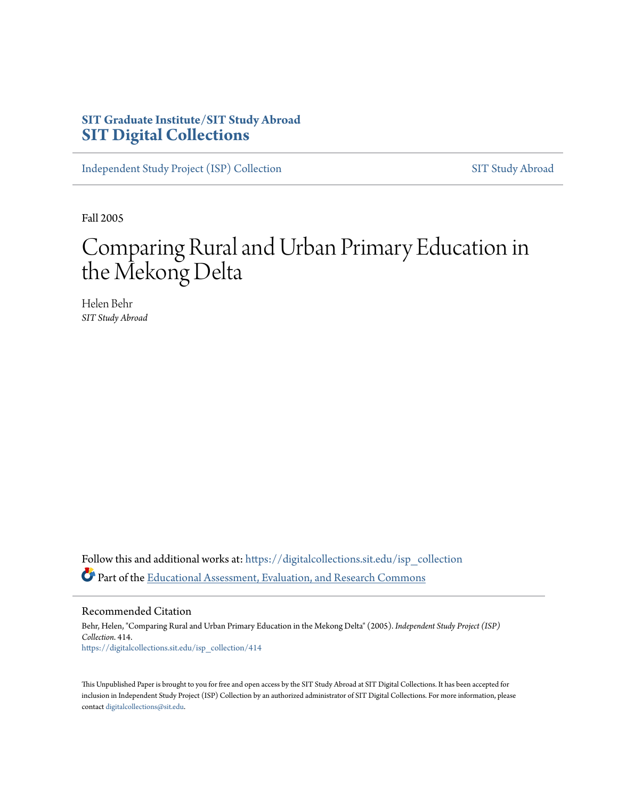# **SIT Graduate Institute/SIT Study Abroad [SIT Digital Collections](https://digitalcollections.sit.edu?utm_source=digitalcollections.sit.edu%2Fisp_collection%2F414&utm_medium=PDF&utm_campaign=PDFCoverPages)**

[Independent Study Project \(ISP\) Collection](https://digitalcollections.sit.edu/isp_collection?utm_source=digitalcollections.sit.edu%2Fisp_collection%2F414&utm_medium=PDF&utm_campaign=PDFCoverPages) [SIT Study Abroad](https://digitalcollections.sit.edu/study_abroad?utm_source=digitalcollections.sit.edu%2Fisp_collection%2F414&utm_medium=PDF&utm_campaign=PDFCoverPages)

Fall 2005

# Comparing Rural and Urban Primary Education in the Mekong Delta

Helen Behr *SIT Study Abroad*

Follow this and additional works at: [https://digitalcollections.sit.edu/isp\\_collection](https://digitalcollections.sit.edu/isp_collection?utm_source=digitalcollections.sit.edu%2Fisp_collection%2F414&utm_medium=PDF&utm_campaign=PDFCoverPages) Part of the [Educational Assessment, Evaluation, and Research Commons](http://network.bepress.com/hgg/discipline/796?utm_source=digitalcollections.sit.edu%2Fisp_collection%2F414&utm_medium=PDF&utm_campaign=PDFCoverPages)

Recommended Citation

Behr, Helen, "Comparing Rural and Urban Primary Education in the Mekong Delta" (2005). *Independent Study Project (ISP) Collection*. 414. [https://digitalcollections.sit.edu/isp\\_collection/414](https://digitalcollections.sit.edu/isp_collection/414?utm_source=digitalcollections.sit.edu%2Fisp_collection%2F414&utm_medium=PDF&utm_campaign=PDFCoverPages)

This Unpublished Paper is brought to you for free and open access by the SIT Study Abroad at SIT Digital Collections. It has been accepted for inclusion in Independent Study Project (ISP) Collection by an authorized administrator of SIT Digital Collections. For more information, please contact [digitalcollections@sit.edu](mailto:digitalcollections@sit.edu).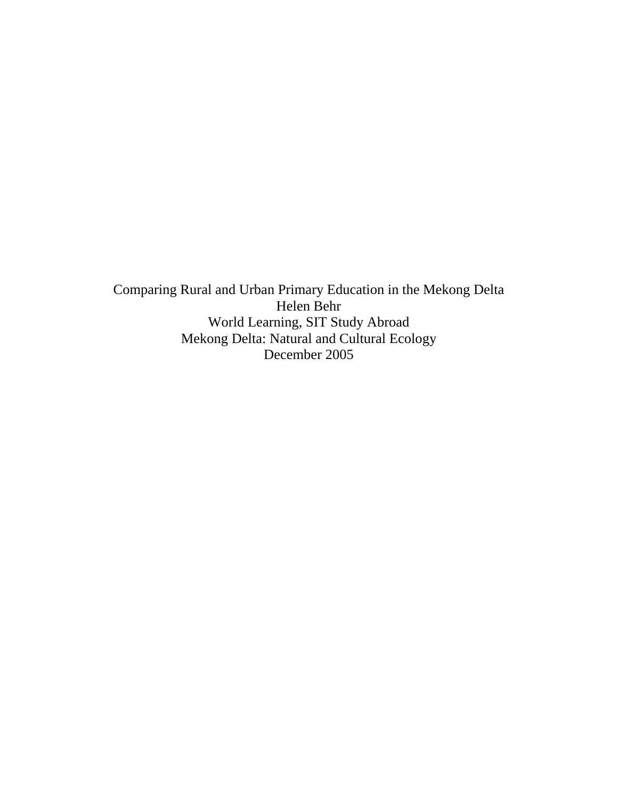Comparing Rural and Urban Primary Education in the Mekong Delta Helen Behr World Learning, SIT Study Abroad Mekong Delta: Natural and Cultural Ecology December 2005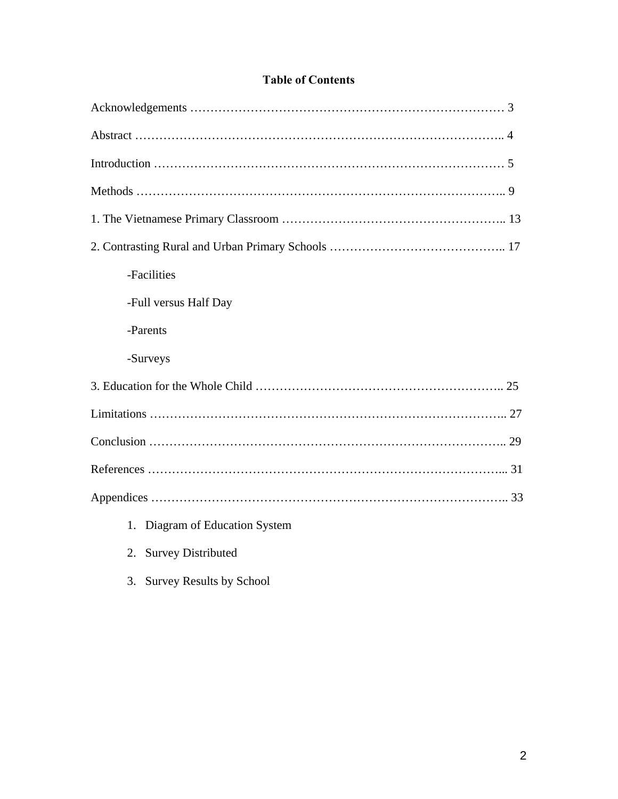### **Table of Contents**

| -Facilities                       |
|-----------------------------------|
| -Full versus Half Day             |
| -Parents                          |
| -Surveys                          |
|                                   |
|                                   |
|                                   |
|                                   |
|                                   |
| Diagram of Education System<br>1. |
| 2. Survey Distributed             |

3. Survey Results by School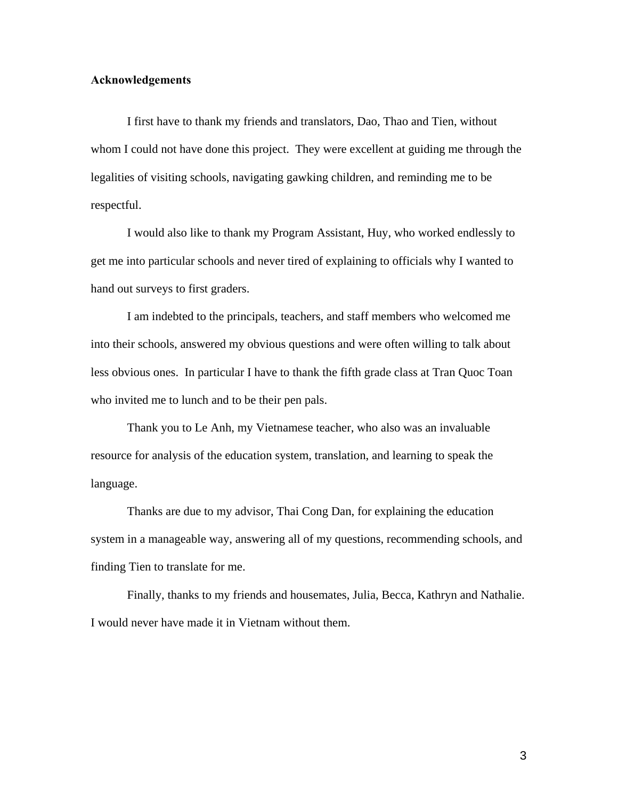#### **Acknowledgements**

I first have to thank my friends and translators, Dao, Thao and Tien, without whom I could not have done this project. They were excellent at guiding me through the legalities of visiting schools, navigating gawking children, and reminding me to be respectful.

 I would also like to thank my Program Assistant, Huy, who worked endlessly to get me into particular schools and never tired of explaining to officials why I wanted to hand out surveys to first graders.

 I am indebted to the principals, teachers, and staff members who welcomed me into their schools, answered my obvious questions and were often willing to talk about less obvious ones. In particular I have to thank the fifth grade class at Tran Quoc Toan who invited me to lunch and to be their pen pals.

 Thank you to Le Anh, my Vietnamese teacher, who also was an invaluable resource for analysis of the education system, translation, and learning to speak the language.

 Thanks are due to my advisor, Thai Cong Dan, for explaining the education system in a manageable way, answering all of my questions, recommending schools, and finding Tien to translate for me.

Finally, thanks to my friends and housemates, Julia, Becca, Kathryn and Nathalie. I would never have made it in Vietnam without them.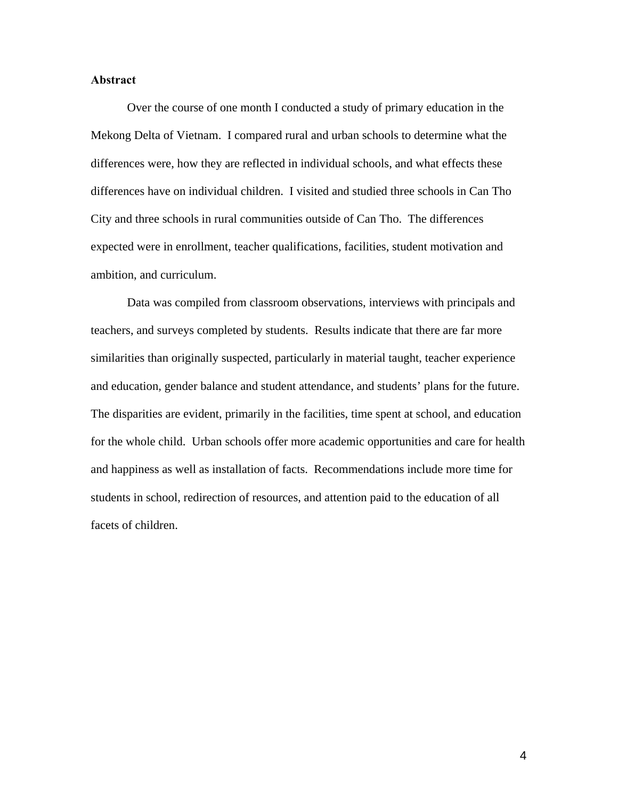#### **Abstract**

 Over the course of one month I conducted a study of primary education in the Mekong Delta of Vietnam. I compared rural and urban schools to determine what the differences were, how they are reflected in individual schools, and what effects these differences have on individual children. I visited and studied three schools in Can Tho City and three schools in rural communities outside of Can Tho. The differences expected were in enrollment, teacher qualifications, facilities, student motivation and ambition, and curriculum.

 Data was compiled from classroom observations, interviews with principals and teachers, and surveys completed by students. Results indicate that there are far more similarities than originally suspected, particularly in material taught, teacher experience and education, gender balance and student attendance, and students' plans for the future. The disparities are evident, primarily in the facilities, time spent at school, and education for the whole child. Urban schools offer more academic opportunities and care for health and happiness as well as installation of facts. Recommendations include more time for students in school, redirection of resources, and attention paid to the education of all facets of children.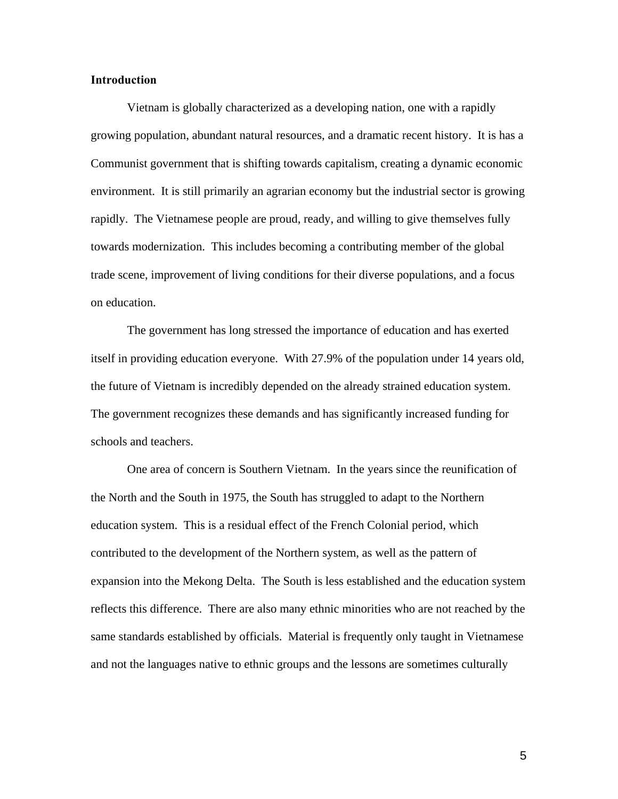#### **Introduction**

 Vietnam is globally characterized as a developing nation, one with a rapidly growing population, abundant natural resources, and a dramatic recent history. It is has a Communist government that is shifting towards capitalism, creating a dynamic economic environment. It is still primarily an agrarian economy but the industrial sector is growing rapidly. The Vietnamese people are proud, ready, and willing to give themselves fully towards modernization. This includes becoming a contributing member of the global trade scene, improvement of living conditions for their diverse populations, and a focus on education.

 The government has long stressed the importance of education and has exerted itself in providing education everyone. With 27.9% of the population under 14 years old, the future of Vietnam is incredibly depended on the already strained education system. The government recognizes these demands and has significantly increased funding for schools and teachers.

 One area of concern is Southern Vietnam. In the years since the reunification of the North and the South in 1975, the South has struggled to adapt to the Northern education system. This is a residual effect of the French Colonial period, which contributed to the development of the Northern system, as well as the pattern of expansion into the Mekong Delta. The South is less established and the education system reflects this difference. There are also many ethnic minorities who are not reached by the same standards established by officials. Material is frequently only taught in Vietnamese and not the languages native to ethnic groups and the lessons are sometimes culturally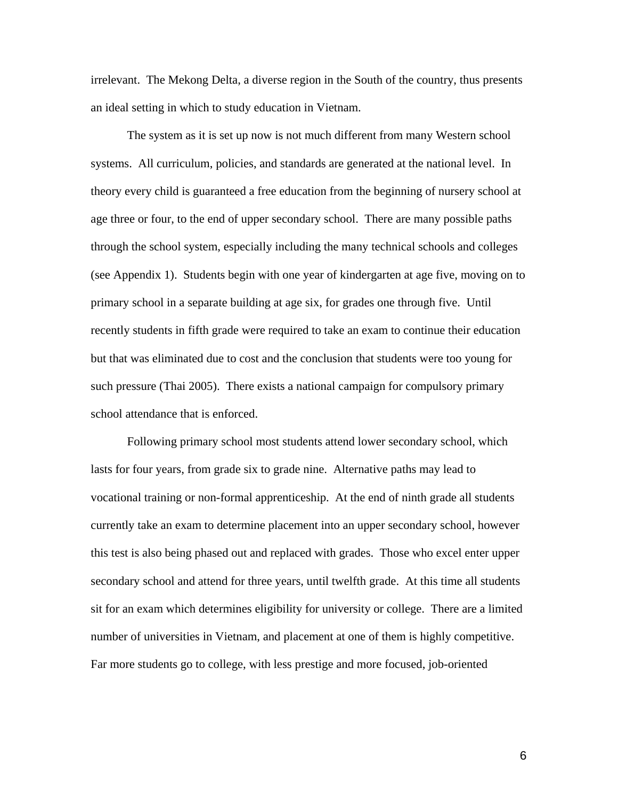irrelevant. The Mekong Delta, a diverse region in the South of the country, thus presents an ideal setting in which to study education in Vietnam.

 The system as it is set up now is not much different from many Western school systems. All curriculum, policies, and standards are generated at the national level. In theory every child is guaranteed a free education from the beginning of nursery school at age three or four, to the end of upper secondary school. There are many possible paths through the school system, especially including the many technical schools and colleges (see Appendix 1). Students begin with one year of kindergarten at age five, moving on to primary school in a separate building at age six, for grades one through five. Until recently students in fifth grade were required to take an exam to continue their education but that was eliminated due to cost and the conclusion that students were too young for such pressure (Thai 2005). There exists a national campaign for compulsory primary school attendance that is enforced.

 Following primary school most students attend lower secondary school, which lasts for four years, from grade six to grade nine. Alternative paths may lead to vocational training or non-formal apprenticeship. At the end of ninth grade all students currently take an exam to determine placement into an upper secondary school, however this test is also being phased out and replaced with grades. Those who excel enter upper secondary school and attend for three years, until twelfth grade. At this time all students sit for an exam which determines eligibility for university or college. There are a limited number of universities in Vietnam, and placement at one of them is highly competitive. Far more students go to college, with less prestige and more focused, job-oriented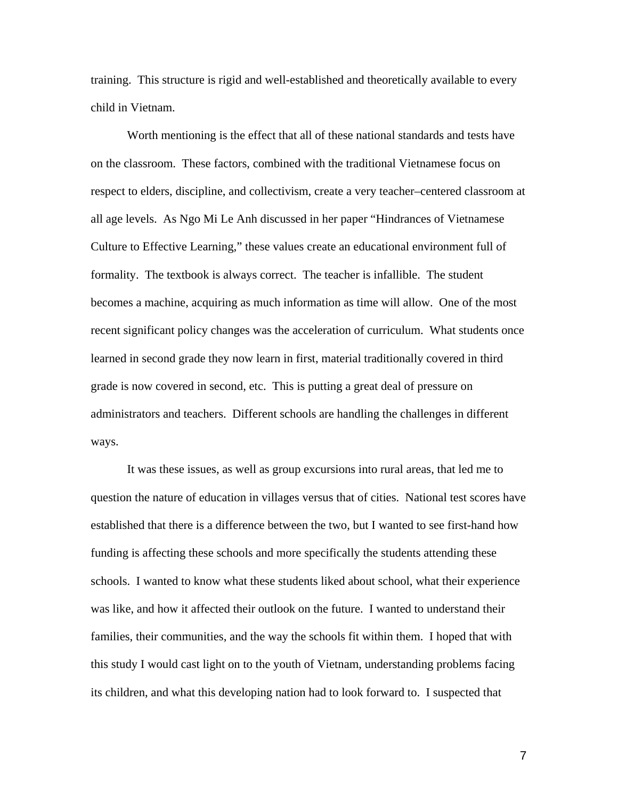training. This structure is rigid and well-established and theoretically available to every child in Vietnam.

 Worth mentioning is the effect that all of these national standards and tests have on the classroom. These factors, combined with the traditional Vietnamese focus on respect to elders, discipline, and collectivism, create a very teacher–centered classroom at all age levels. As Ngo Mi Le Anh discussed in her paper "Hindrances of Vietnamese Culture to Effective Learning," these values create an educational environment full of formality. The textbook is always correct. The teacher is infallible. The student becomes a machine, acquiring as much information as time will allow. One of the most recent significant policy changes was the acceleration of curriculum. What students once learned in second grade they now learn in first, material traditionally covered in third grade is now covered in second, etc. This is putting a great deal of pressure on administrators and teachers. Different schools are handling the challenges in different ways.

 It was these issues, as well as group excursions into rural areas, that led me to question the nature of education in villages versus that of cities. National test scores have established that there is a difference between the two, but I wanted to see first-hand how funding is affecting these schools and more specifically the students attending these schools. I wanted to know what these students liked about school, what their experience was like, and how it affected their outlook on the future. I wanted to understand their families, their communities, and the way the schools fit within them. I hoped that with this study I would cast light on to the youth of Vietnam, understanding problems facing its children, and what this developing nation had to look forward to. I suspected that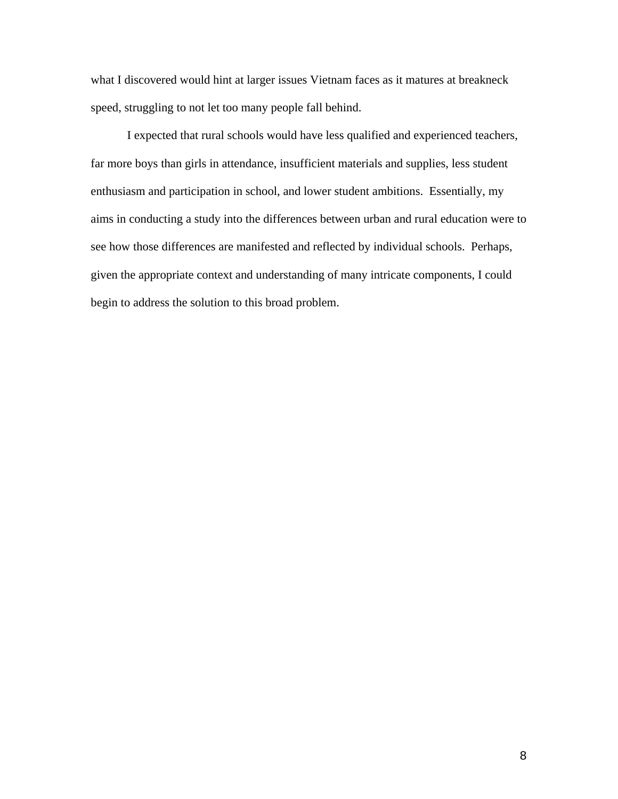what I discovered would hint at larger issues Vietnam faces as it matures at breakneck speed, struggling to not let too many people fall behind.

 I expected that rural schools would have less qualified and experienced teachers, far more boys than girls in attendance, insufficient materials and supplies, less student enthusiasm and participation in school, and lower student ambitions. Essentially, my aims in conducting a study into the differences between urban and rural education were to see how those differences are manifested and reflected by individual schools. Perhaps, given the appropriate context and understanding of many intricate components, I could begin to address the solution to this broad problem.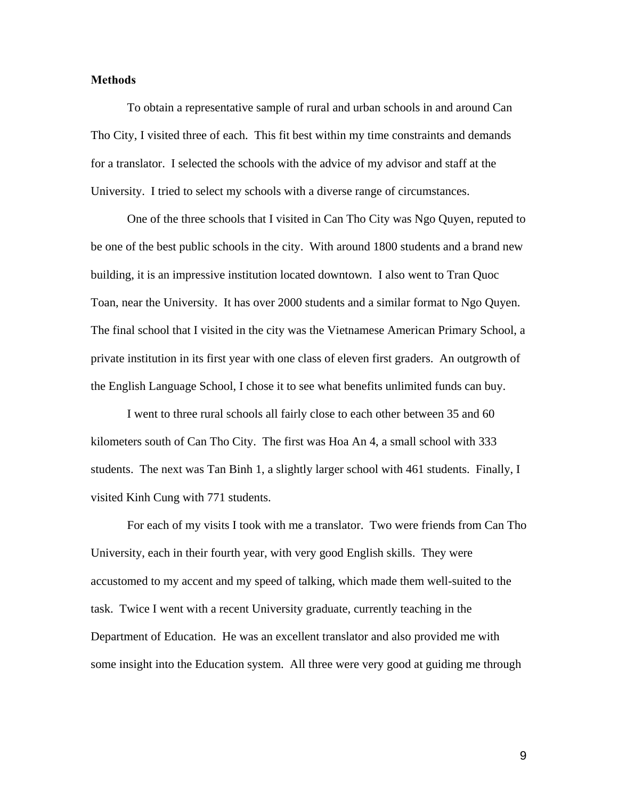#### **Methods**

To obtain a representative sample of rural and urban schools in and around Can Tho City, I visited three of each. This fit best within my time constraints and demands for a translator. I selected the schools with the advice of my advisor and staff at the University. I tried to select my schools with a diverse range of circumstances.

 One of the three schools that I visited in Can Tho City was Ngo Quyen, reputed to be one of the best public schools in the city. With around 1800 students and a brand new building, it is an impressive institution located downtown. I also went to Tran Quoc Toan, near the University. It has over 2000 students and a similar format to Ngo Quyen. The final school that I visited in the city was the Vietnamese American Primary School, a private institution in its first year with one class of eleven first graders. An outgrowth of the English Language School, I chose it to see what benefits unlimited funds can buy.

 I went to three rural schools all fairly close to each other between 35 and 60 kilometers south of Can Tho City. The first was Hoa An 4, a small school with 333 students. The next was Tan Binh 1, a slightly larger school with 461 students. Finally, I visited Kinh Cung with 771 students.

 For each of my visits I took with me a translator. Two were friends from Can Tho University, each in their fourth year, with very good English skills. They were accustomed to my accent and my speed of talking, which made them well-suited to the task. Twice I went with a recent University graduate, currently teaching in the Department of Education. He was an excellent translator and also provided me with some insight into the Education system. All three were very good at guiding me through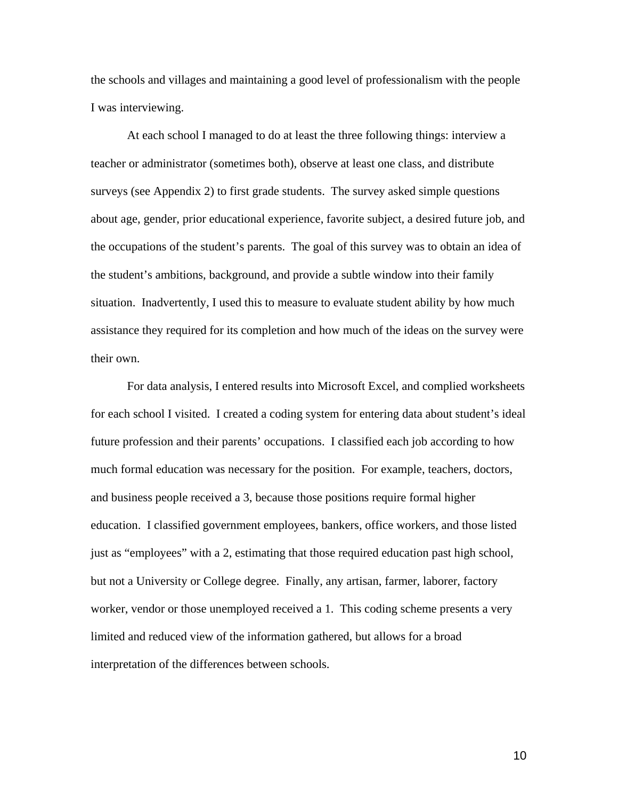the schools and villages and maintaining a good level of professionalism with the people I was interviewing.

 At each school I managed to do at least the three following things: interview a teacher or administrator (sometimes both), observe at least one class, and distribute surveys (see Appendix 2) to first grade students. The survey asked simple questions about age, gender, prior educational experience, favorite subject, a desired future job, and the occupations of the student's parents. The goal of this survey was to obtain an idea of the student's ambitions, background, and provide a subtle window into their family situation. Inadvertently, I used this to measure to evaluate student ability by how much assistance they required for its completion and how much of the ideas on the survey were their own.

 For data analysis, I entered results into Microsoft Excel, and complied worksheets for each school I visited. I created a coding system for entering data about student's ideal future profession and their parents' occupations. I classified each job according to how much formal education was necessary for the position. For example, teachers, doctors, and business people received a 3, because those positions require formal higher education. I classified government employees, bankers, office workers, and those listed just as "employees" with a 2, estimating that those required education past high school, but not a University or College degree. Finally, any artisan, farmer, laborer, factory worker, vendor or those unemployed received a 1. This coding scheme presents a very limited and reduced view of the information gathered, but allows for a broad interpretation of the differences between schools.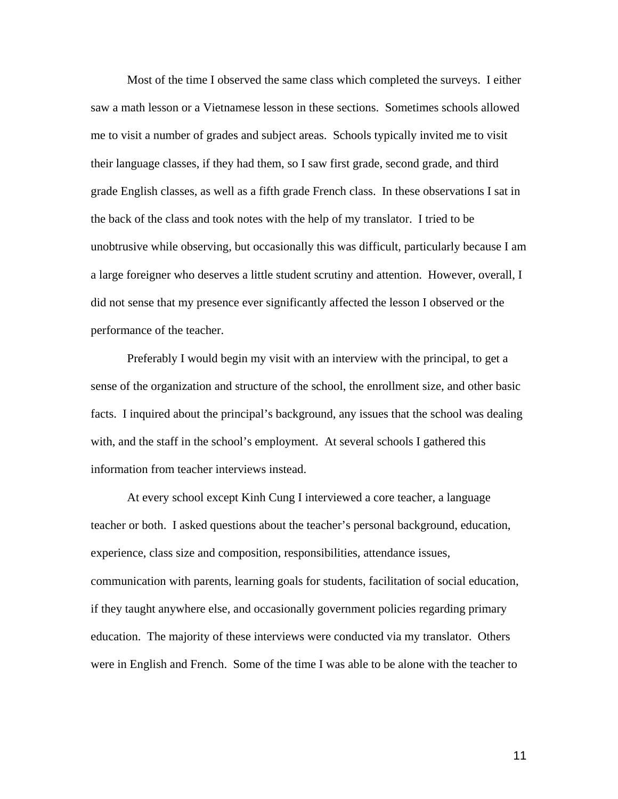Most of the time I observed the same class which completed the surveys. I either saw a math lesson or a Vietnamese lesson in these sections. Sometimes schools allowed me to visit a number of grades and subject areas. Schools typically invited me to visit their language classes, if they had them, so I saw first grade, second grade, and third grade English classes, as well as a fifth grade French class. In these observations I sat in the back of the class and took notes with the help of my translator. I tried to be unobtrusive while observing, but occasionally this was difficult, particularly because I am a large foreigner who deserves a little student scrutiny and attention. However, overall, I did not sense that my presence ever significantly affected the lesson I observed or the performance of the teacher.

 Preferably I would begin my visit with an interview with the principal, to get a sense of the organization and structure of the school, the enrollment size, and other basic facts. I inquired about the principal's background, any issues that the school was dealing with, and the staff in the school's employment. At several schools I gathered this information from teacher interviews instead.

 At every school except Kinh Cung I interviewed a core teacher, a language teacher or both. I asked questions about the teacher's personal background, education, experience, class size and composition, responsibilities, attendance issues, communication with parents, learning goals for students, facilitation of social education, if they taught anywhere else, and occasionally government policies regarding primary education. The majority of these interviews were conducted via my translator. Others were in English and French. Some of the time I was able to be alone with the teacher to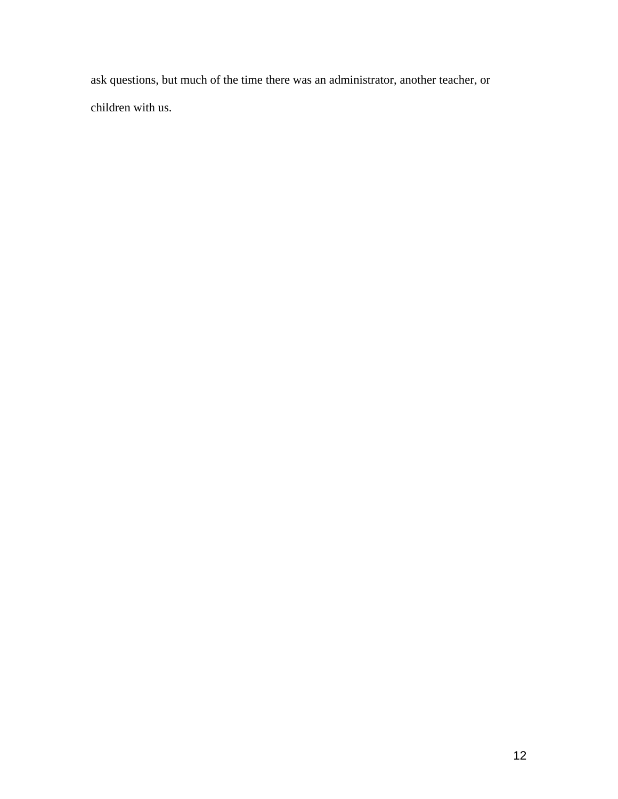ask questions, but much of the time there was an administrator, another teacher, or children with us.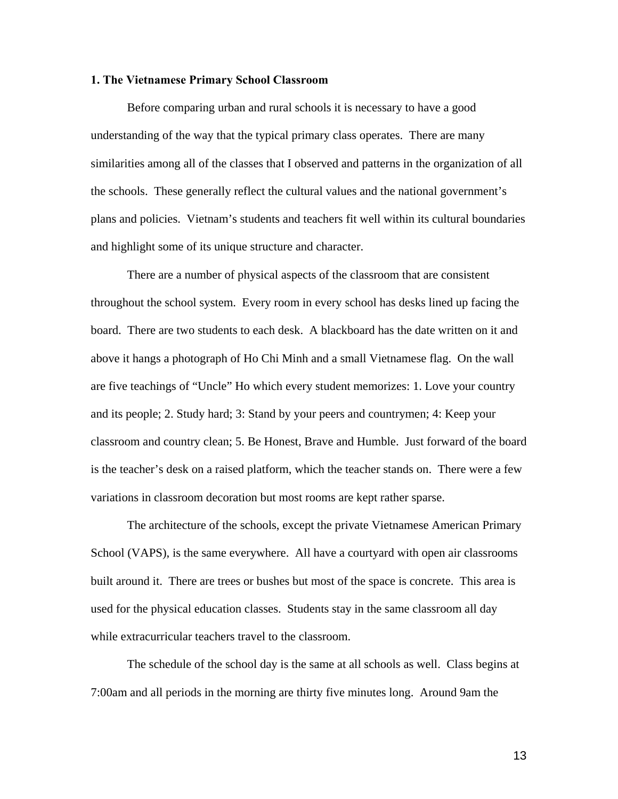#### **1. The Vietnamese Primary School Classroom**

 Before comparing urban and rural schools it is necessary to have a good understanding of the way that the typical primary class operates. There are many similarities among all of the classes that I observed and patterns in the organization of all the schools. These generally reflect the cultural values and the national government's plans and policies. Vietnam's students and teachers fit well within its cultural boundaries and highlight some of its unique structure and character.

 There are a number of physical aspects of the classroom that are consistent throughout the school system. Every room in every school has desks lined up facing the board. There are two students to each desk. A blackboard has the date written on it and above it hangs a photograph of Ho Chi Minh and a small Vietnamese flag. On the wall are five teachings of "Uncle" Ho which every student memorizes: 1. Love your country and its people; 2. Study hard; 3: Stand by your peers and countrymen; 4: Keep your classroom and country clean; 5. Be Honest, Brave and Humble. Just forward of the board is the teacher's desk on a raised platform, which the teacher stands on. There were a few variations in classroom decoration but most rooms are kept rather sparse.

 The architecture of the schools, except the private Vietnamese American Primary School (VAPS), is the same everywhere. All have a courtyard with open air classrooms built around it. There are trees or bushes but most of the space is concrete. This area is used for the physical education classes. Students stay in the same classroom all day while extracurricular teachers travel to the classroom.

 The schedule of the school day is the same at all schools as well. Class begins at 7:00am and all periods in the morning are thirty five minutes long. Around 9am the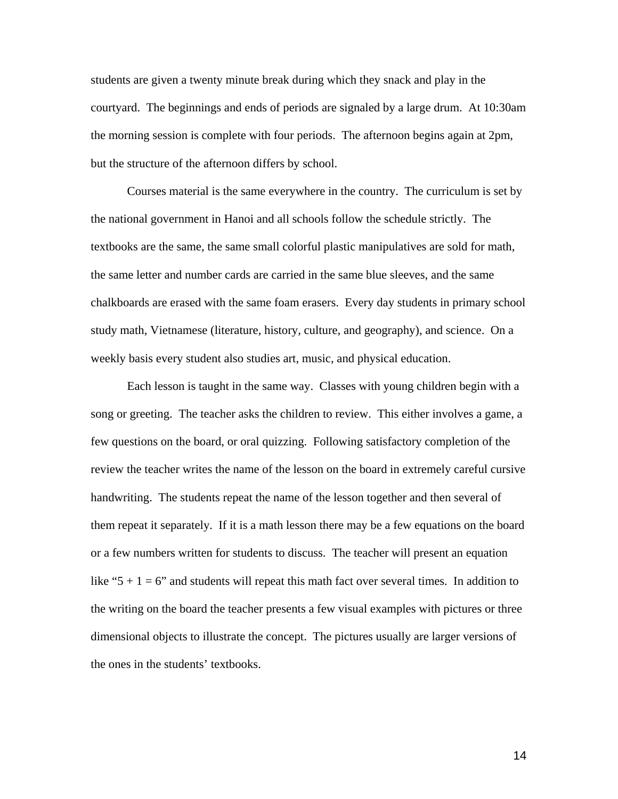students are given a twenty minute break during which they snack and play in the courtyard. The beginnings and ends of periods are signaled by a large drum. At 10:30am the morning session is complete with four periods. The afternoon begins again at 2pm, but the structure of the afternoon differs by school.

 Courses material is the same everywhere in the country. The curriculum is set by the national government in Hanoi and all schools follow the schedule strictly. The textbooks are the same, the same small colorful plastic manipulatives are sold for math, the same letter and number cards are carried in the same blue sleeves, and the same chalkboards are erased with the same foam erasers. Every day students in primary school study math, Vietnamese (literature, history, culture, and geography), and science. On a weekly basis every student also studies art, music, and physical education.

 Each lesson is taught in the same way. Classes with young children begin with a song or greeting. The teacher asks the children to review. This either involves a game, a few questions on the board, or oral quizzing. Following satisfactory completion of the review the teacher writes the name of the lesson on the board in extremely careful cursive handwriting. The students repeat the name of the lesson together and then several of them repeat it separately. If it is a math lesson there may be a few equations on the board or a few numbers written for students to discuss. The teacher will present an equation like "5 + 1 = 6" and students will repeat this math fact over several times. In addition to the writing on the board the teacher presents a few visual examples with pictures or three dimensional objects to illustrate the concept. The pictures usually are larger versions of the ones in the students' textbooks.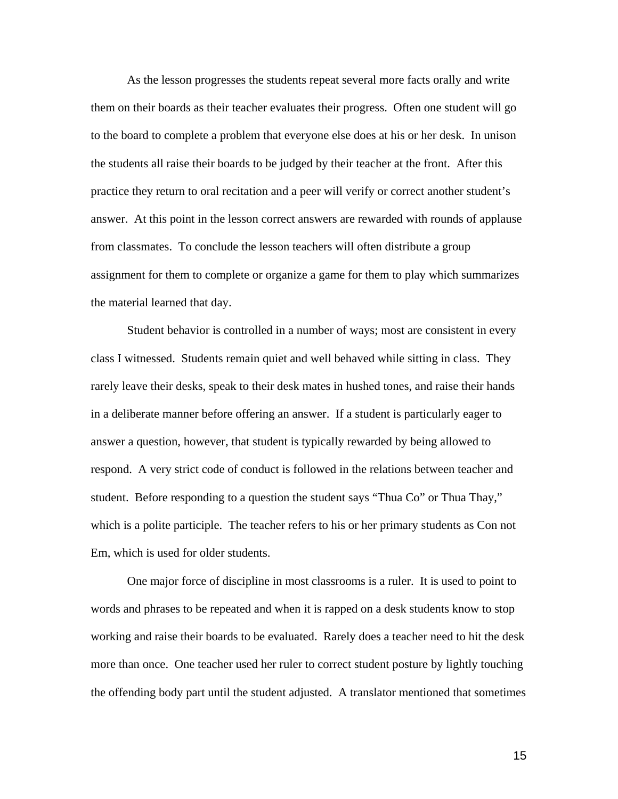As the lesson progresses the students repeat several more facts orally and write them on their boards as their teacher evaluates their progress. Often one student will go to the board to complete a problem that everyone else does at his or her desk. In unison the students all raise their boards to be judged by their teacher at the front. After this practice they return to oral recitation and a peer will verify or correct another student's answer. At this point in the lesson correct answers are rewarded with rounds of applause from classmates. To conclude the lesson teachers will often distribute a group assignment for them to complete or organize a game for them to play which summarizes the material learned that day.

 Student behavior is controlled in a number of ways; most are consistent in every class I witnessed. Students remain quiet and well behaved while sitting in class. They rarely leave their desks, speak to their desk mates in hushed tones, and raise their hands in a deliberate manner before offering an answer. If a student is particularly eager to answer a question, however, that student is typically rewarded by being allowed to respond. A very strict code of conduct is followed in the relations between teacher and student. Before responding to a question the student says "Thua Co" or Thua Thay," which is a polite participle. The teacher refers to his or her primary students as Con not Em, which is used for older students.

One major force of discipline in most classrooms is a ruler. It is used to point to words and phrases to be repeated and when it is rapped on a desk students know to stop working and raise their boards to be evaluated. Rarely does a teacher need to hit the desk more than once. One teacher used her ruler to correct student posture by lightly touching the offending body part until the student adjusted. A translator mentioned that sometimes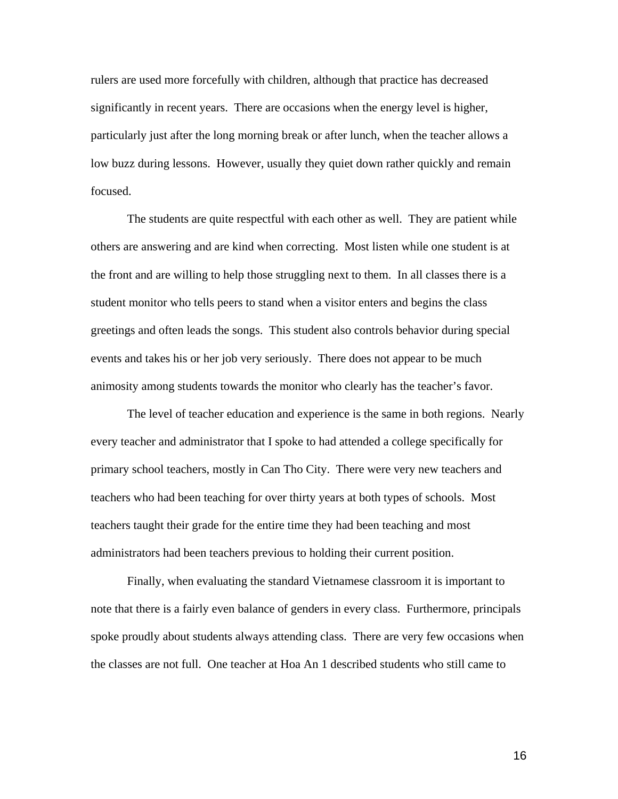rulers are used more forcefully with children, although that practice has decreased significantly in recent years. There are occasions when the energy level is higher, particularly just after the long morning break or after lunch, when the teacher allows a low buzz during lessons. However, usually they quiet down rather quickly and remain focused.

The students are quite respectful with each other as well. They are patient while others are answering and are kind when correcting. Most listen while one student is at the front and are willing to help those struggling next to them. In all classes there is a student monitor who tells peers to stand when a visitor enters and begins the class greetings and often leads the songs. This student also controls behavior during special events and takes his or her job very seriously. There does not appear to be much animosity among students towards the monitor who clearly has the teacher's favor.

The level of teacher education and experience is the same in both regions. Nearly every teacher and administrator that I spoke to had attended a college specifically for primary school teachers, mostly in Can Tho City. There were very new teachers and teachers who had been teaching for over thirty years at both types of schools. Most teachers taught their grade for the entire time they had been teaching and most administrators had been teachers previous to holding their current position.

Finally, when evaluating the standard Vietnamese classroom it is important to note that there is a fairly even balance of genders in every class. Furthermore, principals spoke proudly about students always attending class. There are very few occasions when the classes are not full. One teacher at Hoa An 1 described students who still came to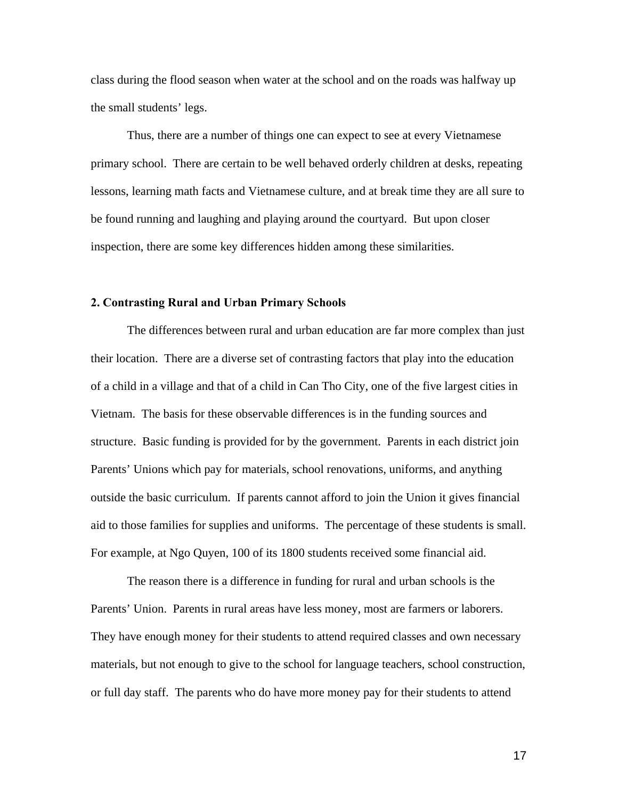class during the flood season when water at the school and on the roads was halfway up the small students' legs.

Thus, there are a number of things one can expect to see at every Vietnamese primary school. There are certain to be well behaved orderly children at desks, repeating lessons, learning math facts and Vietnamese culture, and at break time they are all sure to be found running and laughing and playing around the courtyard. But upon closer inspection, there are some key differences hidden among these similarities.

#### **2. Contrasting Rural and Urban Primary Schools**

The differences between rural and urban education are far more complex than just their location. There are a diverse set of contrasting factors that play into the education of a child in a village and that of a child in Can Tho City, one of the five largest cities in Vietnam. The basis for these observable differences is in the funding sources and structure. Basic funding is provided for by the government. Parents in each district join Parents' Unions which pay for materials, school renovations, uniforms, and anything outside the basic curriculum. If parents cannot afford to join the Union it gives financial aid to those families for supplies and uniforms. The percentage of these students is small. For example, at Ngo Quyen, 100 of its 1800 students received some financial aid.

The reason there is a difference in funding for rural and urban schools is the Parents' Union. Parents in rural areas have less money, most are farmers or laborers. They have enough money for their students to attend required classes and own necessary materials, but not enough to give to the school for language teachers, school construction, or full day staff. The parents who do have more money pay for their students to attend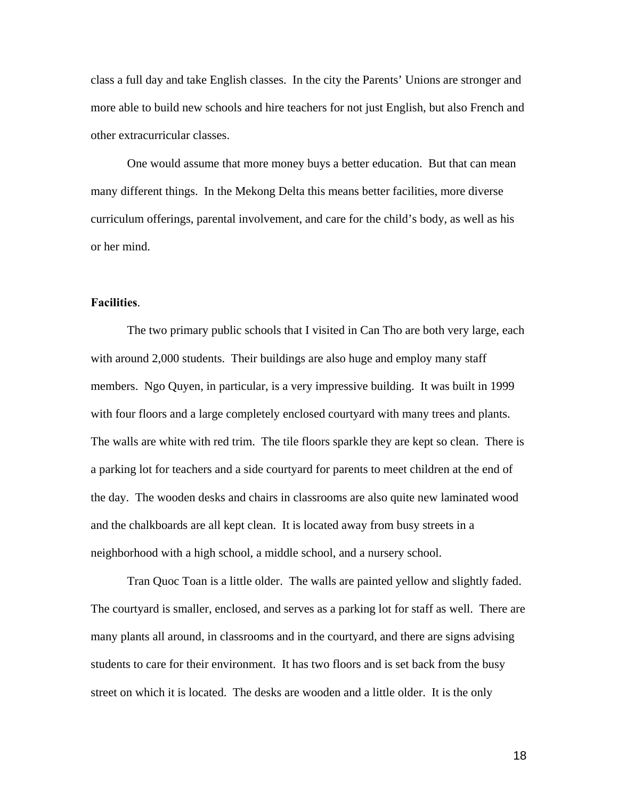class a full day and take English classes. In the city the Parents' Unions are stronger and more able to build new schools and hire teachers for not just English, but also French and other extracurricular classes.

One would assume that more money buys a better education. But that can mean many different things. In the Mekong Delta this means better facilities, more diverse curriculum offerings, parental involvement, and care for the child's body, as well as his or her mind.

#### **Facilities**.

The two primary public schools that I visited in Can Tho are both very large, each with around 2,000 students. Their buildings are also huge and employ many staff members. Ngo Quyen, in particular, is a very impressive building. It was built in 1999 with four floors and a large completely enclosed courtyard with many trees and plants. The walls are white with red trim. The tile floors sparkle they are kept so clean. There is a parking lot for teachers and a side courtyard for parents to meet children at the end of the day. The wooden desks and chairs in classrooms are also quite new laminated wood and the chalkboards are all kept clean. It is located away from busy streets in a neighborhood with a high school, a middle school, and a nursery school.

 Tran Quoc Toan is a little older. The walls are painted yellow and slightly faded. The courtyard is smaller, enclosed, and serves as a parking lot for staff as well. There are many plants all around, in classrooms and in the courtyard, and there are signs advising students to care for their environment. It has two floors and is set back from the busy street on which it is located. The desks are wooden and a little older. It is the only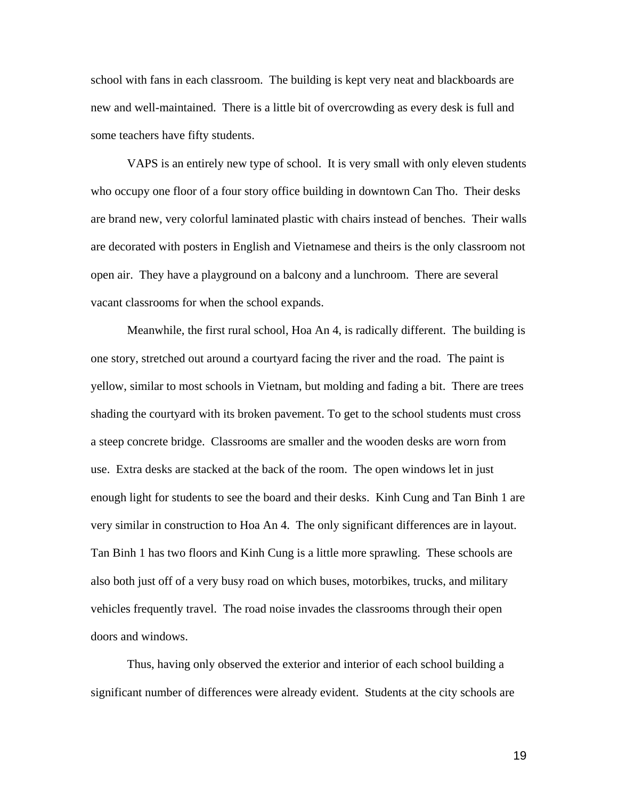school with fans in each classroom. The building is kept very neat and blackboards are new and well-maintained. There is a little bit of overcrowding as every desk is full and some teachers have fifty students.

 VAPS is an entirely new type of school. It is very small with only eleven students who occupy one floor of a four story office building in downtown Can Tho. Their desks are brand new, very colorful laminated plastic with chairs instead of benches. Their walls are decorated with posters in English and Vietnamese and theirs is the only classroom not open air. They have a playground on a balcony and a lunchroom. There are several vacant classrooms for when the school expands.

 Meanwhile, the first rural school, Hoa An 4, is radically different. The building is one story, stretched out around a courtyard facing the river and the road. The paint is yellow, similar to most schools in Vietnam, but molding and fading a bit. There are trees shading the courtyard with its broken pavement. To get to the school students must cross a steep concrete bridge. Classrooms are smaller and the wooden desks are worn from use. Extra desks are stacked at the back of the room. The open windows let in just enough light for students to see the board and their desks. Kinh Cung and Tan Binh 1 are very similar in construction to Hoa An 4. The only significant differences are in layout. Tan Binh 1 has two floors and Kinh Cung is a little more sprawling. These schools are also both just off of a very busy road on which buses, motorbikes, trucks, and military vehicles frequently travel. The road noise invades the classrooms through their open doors and windows.

 Thus, having only observed the exterior and interior of each school building a significant number of differences were already evident. Students at the city schools are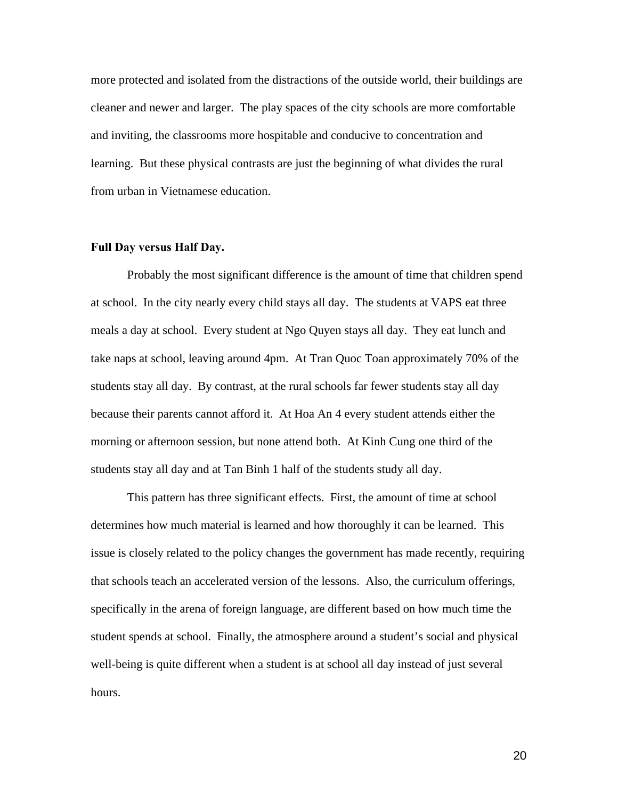more protected and isolated from the distractions of the outside world, their buildings are cleaner and newer and larger. The play spaces of the city schools are more comfortable and inviting, the classrooms more hospitable and conducive to concentration and learning. But these physical contrasts are just the beginning of what divides the rural from urban in Vietnamese education.

#### **Full Day versus Half Day.**

Probably the most significant difference is the amount of time that children spend at school. In the city nearly every child stays all day. The students at VAPS eat three meals a day at school. Every student at Ngo Quyen stays all day. They eat lunch and take naps at school, leaving around 4pm. At Tran Quoc Toan approximately 70% of the students stay all day. By contrast, at the rural schools far fewer students stay all day because their parents cannot afford it. At Hoa An 4 every student attends either the morning or afternoon session, but none attend both. At Kinh Cung one third of the students stay all day and at Tan Binh 1 half of the students study all day.

 This pattern has three significant effects. First, the amount of time at school determines how much material is learned and how thoroughly it can be learned. This issue is closely related to the policy changes the government has made recently, requiring that schools teach an accelerated version of the lessons. Also, the curriculum offerings, specifically in the arena of foreign language, are different based on how much time the student spends at school. Finally, the atmosphere around a student's social and physical well-being is quite different when a student is at school all day instead of just several hours.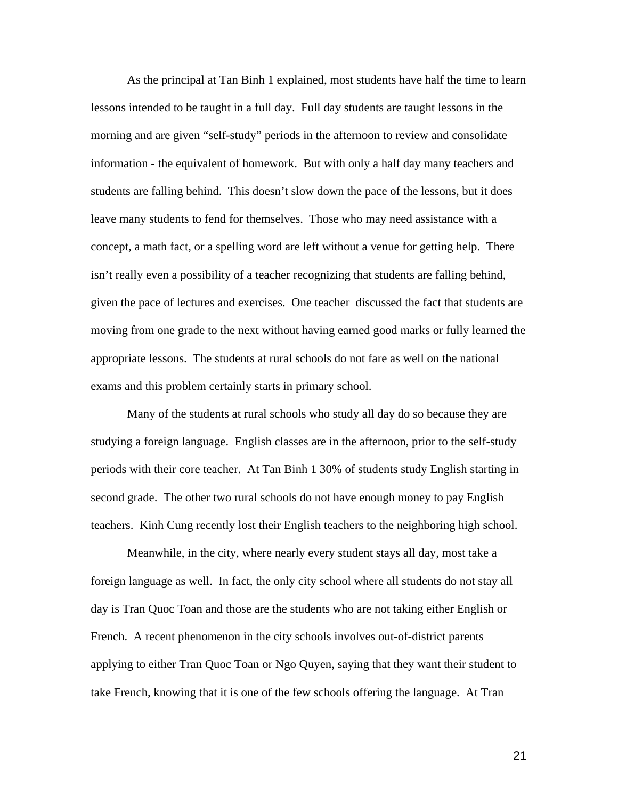As the principal at Tan Binh 1 explained, most students have half the time to learn lessons intended to be taught in a full day. Full day students are taught lessons in the morning and are given "self-study" periods in the afternoon to review and consolidate information - the equivalent of homework. But with only a half day many teachers and students are falling behind. This doesn't slow down the pace of the lessons, but it does leave many students to fend for themselves. Those who may need assistance with a concept, a math fact, or a spelling word are left without a venue for getting help. There isn't really even a possibility of a teacher recognizing that students are falling behind, given the pace of lectures and exercises. One teacher discussed the fact that students are moving from one grade to the next without having earned good marks or fully learned the appropriate lessons. The students at rural schools do not fare as well on the national exams and this problem certainly starts in primary school.

 Many of the students at rural schools who study all day do so because they are studying a foreign language. English classes are in the afternoon, prior to the self-study periods with their core teacher. At Tan Binh 1 30% of students study English starting in second grade. The other two rural schools do not have enough money to pay English teachers. Kinh Cung recently lost their English teachers to the neighboring high school.

 Meanwhile, in the city, where nearly every student stays all day, most take a foreign language as well. In fact, the only city school where all students do not stay all day is Tran Quoc Toan and those are the students who are not taking either English or French. A recent phenomenon in the city schools involves out-of-district parents applying to either Tran Quoc Toan or Ngo Quyen, saying that they want their student to take French, knowing that it is one of the few schools offering the language. At Tran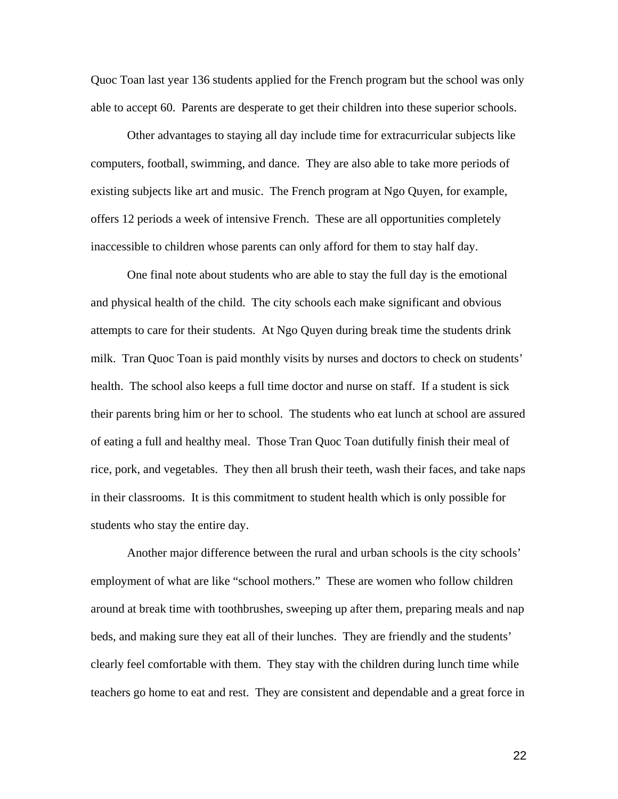Quoc Toan last year 136 students applied for the French program but the school was only able to accept 60. Parents are desperate to get their children into these superior schools.

 Other advantages to staying all day include time for extracurricular subjects like computers, football, swimming, and dance. They are also able to take more periods of existing subjects like art and music. The French program at Ngo Quyen, for example, offers 12 periods a week of intensive French. These are all opportunities completely inaccessible to children whose parents can only afford for them to stay half day.

 One final note about students who are able to stay the full day is the emotional and physical health of the child. The city schools each make significant and obvious attempts to care for their students. At Ngo Quyen during break time the students drink milk. Tran Quoc Toan is paid monthly visits by nurses and doctors to check on students' health. The school also keeps a full time doctor and nurse on staff. If a student is sick their parents bring him or her to school. The students who eat lunch at school are assured of eating a full and healthy meal. Those Tran Quoc Toan dutifully finish their meal of rice, pork, and vegetables. They then all brush their teeth, wash their faces, and take naps in their classrooms. It is this commitment to student health which is only possible for students who stay the entire day.

 Another major difference between the rural and urban schools is the city schools' employment of what are like "school mothers." These are women who follow children around at break time with toothbrushes, sweeping up after them, preparing meals and nap beds, and making sure they eat all of their lunches. They are friendly and the students' clearly feel comfortable with them. They stay with the children during lunch time while teachers go home to eat and rest. They are consistent and dependable and a great force in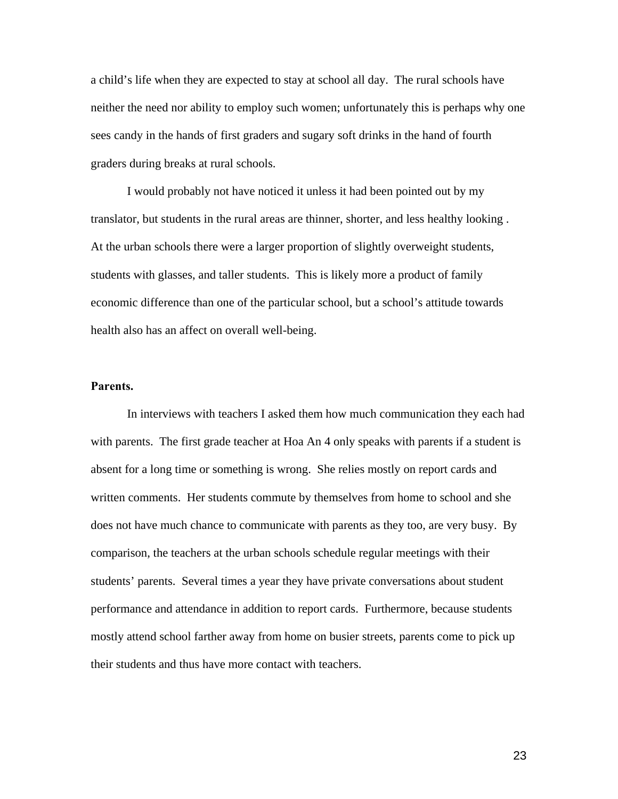a child's life when they are expected to stay at school all day. The rural schools have neither the need nor ability to employ such women; unfortunately this is perhaps why one sees candy in the hands of first graders and sugary soft drinks in the hand of fourth graders during breaks at rural schools.

 I would probably not have noticed it unless it had been pointed out by my translator, but students in the rural areas are thinner, shorter, and less healthy looking . At the urban schools there were a larger proportion of slightly overweight students, students with glasses, and taller students. This is likely more a product of family economic difference than one of the particular school, but a school's attitude towards health also has an affect on overall well-being.

#### **Parents.**

 In interviews with teachers I asked them how much communication they each had with parents. The first grade teacher at Hoa An 4 only speaks with parents if a student is absent for a long time or something is wrong. She relies mostly on report cards and written comments. Her students commute by themselves from home to school and she does not have much chance to communicate with parents as they too, are very busy. By comparison, the teachers at the urban schools schedule regular meetings with their students' parents. Several times a year they have private conversations about student performance and attendance in addition to report cards. Furthermore, because students mostly attend school farther away from home on busier streets, parents come to pick up their students and thus have more contact with teachers.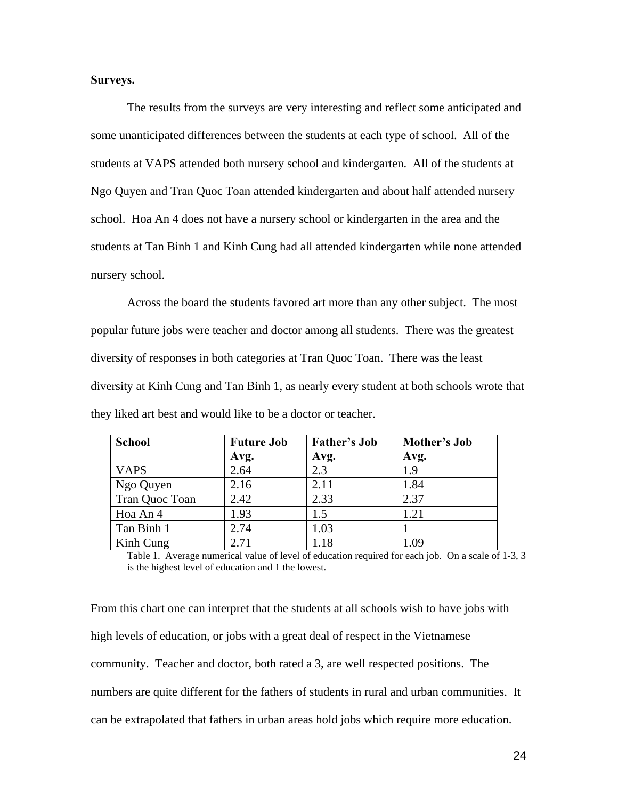#### **Surveys.**

 The results from the surveys are very interesting and reflect some anticipated and some unanticipated differences between the students at each type of school. All of the students at VAPS attended both nursery school and kindergarten. All of the students at Ngo Quyen and Tran Quoc Toan attended kindergarten and about half attended nursery school. Hoa An 4 does not have a nursery school or kindergarten in the area and the students at Tan Binh 1 and Kinh Cung had all attended kindergarten while none attended nursery school.

Across the board the students favored art more than any other subject. The most popular future jobs were teacher and doctor among all students. There was the greatest diversity of responses in both categories at Tran Quoc Toan. There was the least diversity at Kinh Cung and Tan Binh 1, as nearly every student at both schools wrote that they liked art best and would like to be a doctor or teacher.

| <b>School</b>  | <b>Future Job</b><br>Avg. | <b>Father's Job</b><br>Avg. | Mother's Job<br>Avg. |
|----------------|---------------------------|-----------------------------|----------------------|
| <b>VAPS</b>    | 2.64                      | 2.3                         | 1.9                  |
| Ngo Quyen      | 2.16                      | 2.11                        | 1.84                 |
| Tran Quoc Toan | 2.42                      | 2.33                        | 2.37                 |
| Hoa An 4       | 1.93                      | 1.5                         | 1.21                 |
| Tan Binh 1     | 2.74                      | 1.03                        |                      |
| Kinh Cung      | 2.71                      | 1.18                        | 1.09                 |

Table 1. Average numerical value of level of education required for each job. On a scale of 1-3, 3 is the highest level of education and 1 the lowest.

From this chart one can interpret that the students at all schools wish to have jobs with high levels of education, or jobs with a great deal of respect in the Vietnamese community. Teacher and doctor, both rated a 3, are well respected positions. The numbers are quite different for the fathers of students in rural and urban communities. It can be extrapolated that fathers in urban areas hold jobs which require more education.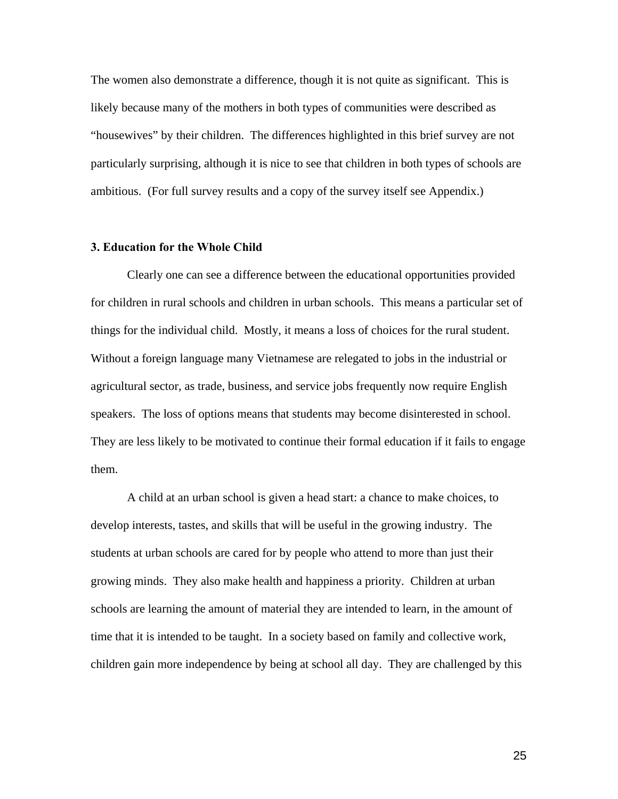The women also demonstrate a difference, though it is not quite as significant. This is likely because many of the mothers in both types of communities were described as "housewives" by their children. The differences highlighted in this brief survey are not particularly surprising, although it is nice to see that children in both types of schools are ambitious. (For full survey results and a copy of the survey itself see Appendix.)

#### **3. Education for the Whole Child**

Clearly one can see a difference between the educational opportunities provided for children in rural schools and children in urban schools. This means a particular set of things for the individual child. Mostly, it means a loss of choices for the rural student. Without a foreign language many Vietnamese are relegated to jobs in the industrial or agricultural sector, as trade, business, and service jobs frequently now require English speakers. The loss of options means that students may become disinterested in school. They are less likely to be motivated to continue their formal education if it fails to engage them.

 A child at an urban school is given a head start: a chance to make choices, to develop interests, tastes, and skills that will be useful in the growing industry. The students at urban schools are cared for by people who attend to more than just their growing minds. They also make health and happiness a priority. Children at urban schools are learning the amount of material they are intended to learn, in the amount of time that it is intended to be taught. In a society based on family and collective work, children gain more independence by being at school all day. They are challenged by this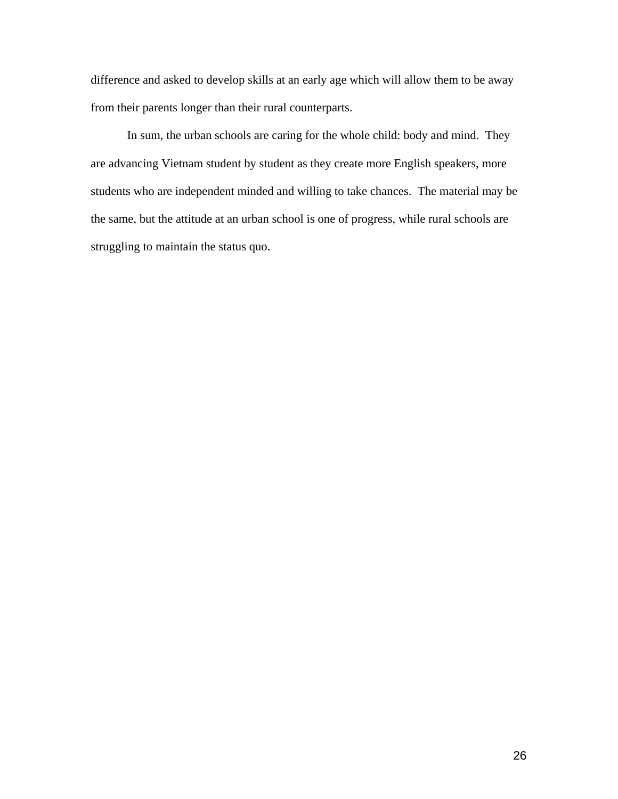difference and asked to develop skills at an early age which will allow them to be away from their parents longer than their rural counterparts.

 In sum, the urban schools are caring for the whole child: body and mind. They are advancing Vietnam student by student as they create more English speakers, more students who are independent minded and willing to take chances. The material may be the same, but the attitude at an urban school is one of progress, while rural schools are struggling to maintain the status quo.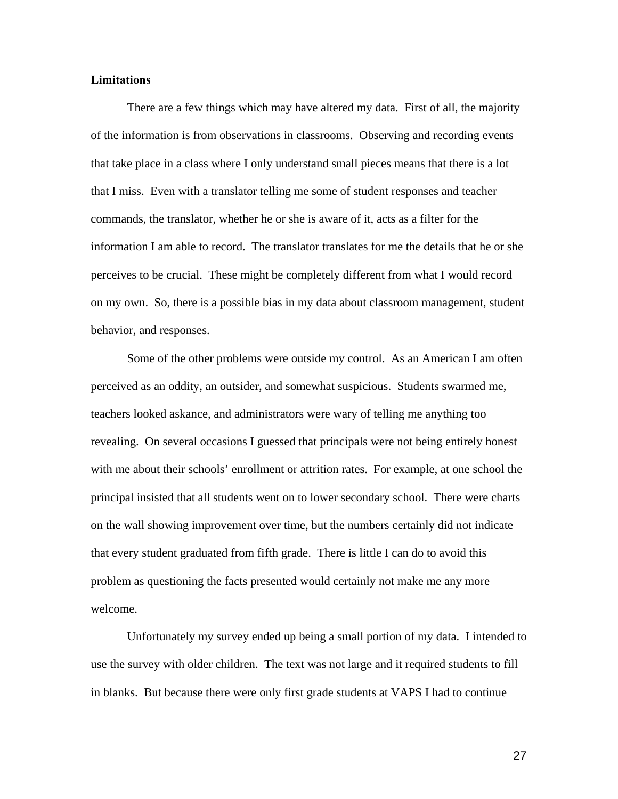#### **Limitations**

 There are a few things which may have altered my data. First of all, the majority of the information is from observations in classrooms. Observing and recording events that take place in a class where I only understand small pieces means that there is a lot that I miss. Even with a translator telling me some of student responses and teacher commands, the translator, whether he or she is aware of it, acts as a filter for the information I am able to record. The translator translates for me the details that he or she perceives to be crucial. These might be completely different from what I would record on my own. So, there is a possible bias in my data about classroom management, student behavior, and responses.

 Some of the other problems were outside my control. As an American I am often perceived as an oddity, an outsider, and somewhat suspicious. Students swarmed me, teachers looked askance, and administrators were wary of telling me anything too revealing. On several occasions I guessed that principals were not being entirely honest with me about their schools' enrollment or attrition rates. For example, at one school the principal insisted that all students went on to lower secondary school. There were charts on the wall showing improvement over time, but the numbers certainly did not indicate that every student graduated from fifth grade. There is little I can do to avoid this problem as questioning the facts presented would certainly not make me any more welcome.

Unfortunately my survey ended up being a small portion of my data. I intended to use the survey with older children. The text was not large and it required students to fill in blanks. But because there were only first grade students at VAPS I had to continue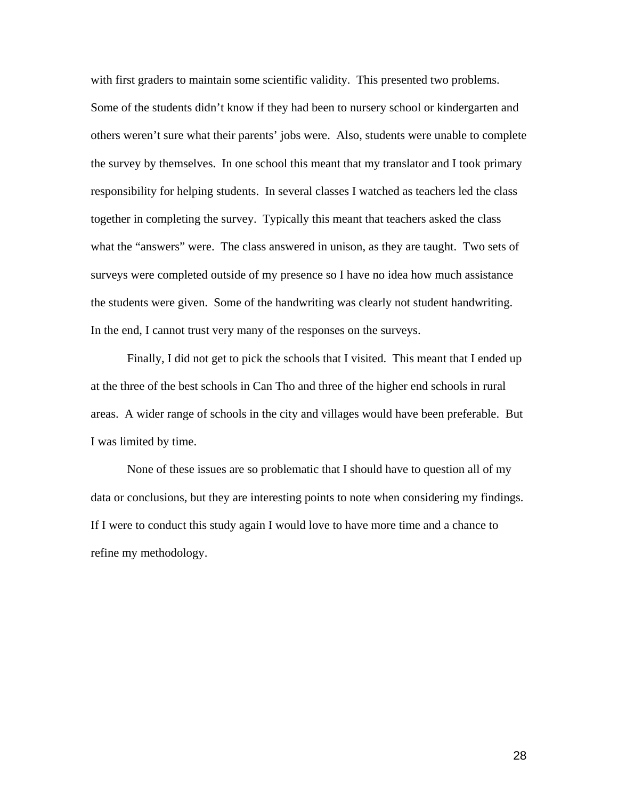with first graders to maintain some scientific validity. This presented two problems. Some of the students didn't know if they had been to nursery school or kindergarten and others weren't sure what their parents' jobs were. Also, students were unable to complete the survey by themselves. In one school this meant that my translator and I took primary responsibility for helping students. In several classes I watched as teachers led the class together in completing the survey. Typically this meant that teachers asked the class what the "answers" were. The class answered in unison, as they are taught. Two sets of surveys were completed outside of my presence so I have no idea how much assistance the students were given. Some of the handwriting was clearly not student handwriting. In the end, I cannot trust very many of the responses on the surveys.

 Finally, I did not get to pick the schools that I visited. This meant that I ended up at the three of the best schools in Can Tho and three of the higher end schools in rural areas. A wider range of schools in the city and villages would have been preferable. But I was limited by time.

 None of these issues are so problematic that I should have to question all of my data or conclusions, but they are interesting points to note when considering my findings. If I were to conduct this study again I would love to have more time and a chance to refine my methodology.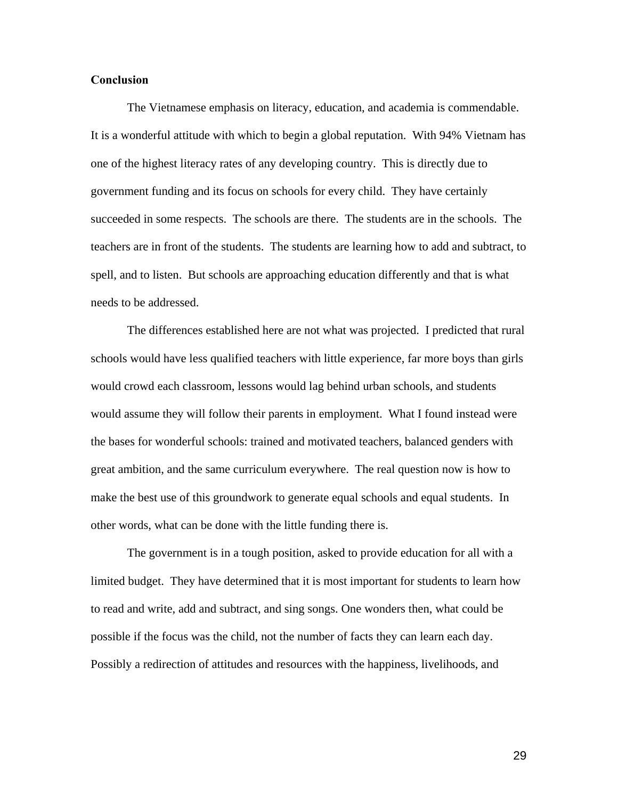#### **Conclusion**

The Vietnamese emphasis on literacy, education, and academia is commendable. It is a wonderful attitude with which to begin a global reputation. With 94% Vietnam has one of the highest literacy rates of any developing country. This is directly due to government funding and its focus on schools for every child. They have certainly succeeded in some respects. The schools are there. The students are in the schools. The teachers are in front of the students. The students are learning how to add and subtract, to spell, and to listen. But schools are approaching education differently and that is what needs to be addressed.

The differences established here are not what was projected. I predicted that rural schools would have less qualified teachers with little experience, far more boys than girls would crowd each classroom, lessons would lag behind urban schools, and students would assume they will follow their parents in employment. What I found instead were the bases for wonderful schools: trained and motivated teachers, balanced genders with great ambition, and the same curriculum everywhere. The real question now is how to make the best use of this groundwork to generate equal schools and equal students. In other words, what can be done with the little funding there is.

The government is in a tough position, asked to provide education for all with a limited budget. They have determined that it is most important for students to learn how to read and write, add and subtract, and sing songs. One wonders then, what could be possible if the focus was the child, not the number of facts they can learn each day. Possibly a redirection of attitudes and resources with the happiness, livelihoods, and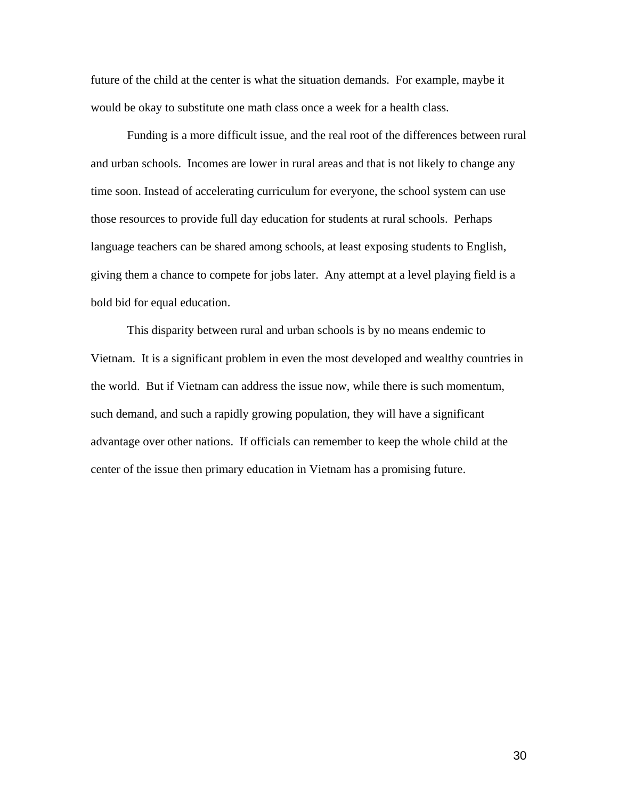future of the child at the center is what the situation demands. For example, maybe it would be okay to substitute one math class once a week for a health class.

Funding is a more difficult issue, and the real root of the differences between rural and urban schools. Incomes are lower in rural areas and that is not likely to change any time soon. Instead of accelerating curriculum for everyone, the school system can use those resources to provide full day education for students at rural schools. Perhaps language teachers can be shared among schools, at least exposing students to English, giving them a chance to compete for jobs later. Any attempt at a level playing field is a bold bid for equal education.

This disparity between rural and urban schools is by no means endemic to Vietnam. It is a significant problem in even the most developed and wealthy countries in the world. But if Vietnam can address the issue now, while there is such momentum, such demand, and such a rapidly growing population, they will have a significant advantage over other nations. If officials can remember to keep the whole child at the center of the issue then primary education in Vietnam has a promising future.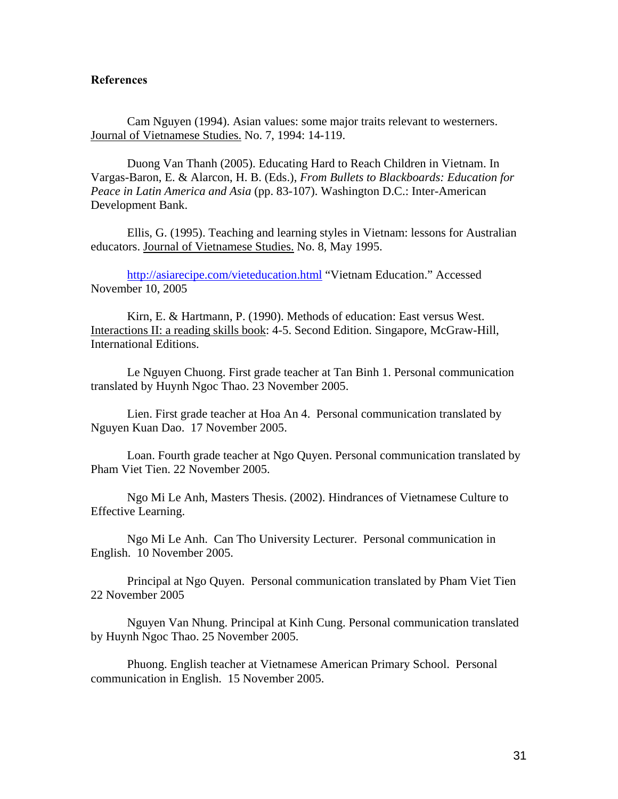#### **References**

 Cam Nguyen (1994). Asian values: some major traits relevant to westerners. Journal of Vietnamese Studies. No. 7, 1994: 14-119.

Duong Van Thanh (2005). Educating Hard to Reach Children in Vietnam. In Vargas-Baron, E. & Alarcon, H. B. (Eds.), *From Bullets to Blackboards: Education for Peace in Latin America and Asia* (pp. 83-107). Washington D.C.: Inter-American Development Bank.

 Ellis, G. (1995). Teaching and learning styles in Vietnam: lessons for Australian educators. Journal of Vietnamese Studies. No. 8, May 1995.

<http://asiarecipe.com/vieteducation.html> "Vietnam Education." Accessed November 10, 2005

 Kirn, E. & Hartmann, P. (1990). Methods of education: East versus West. Interactions II: a reading skills book: 4-5. Second Edition. Singapore, McGraw-Hill, International Editions.

Le Nguyen Chuong. First grade teacher at Tan Binh 1. Personal communication translated by Huynh Ngoc Thao. 23 November 2005.

Lien. First grade teacher at Hoa An 4. Personal communication translated by Nguyen Kuan Dao. 17 November 2005.

Loan. Fourth grade teacher at Ngo Quyen. Personal communication translated by Pham Viet Tien. 22 November 2005.

 Ngo Mi Le Anh, Masters Thesis. (2002). Hindrances of Vietnamese Culture to Effective Learning.

Ngo Mi Le Anh. Can Tho University Lecturer. Personal communication in English. 10 November 2005.

Principal at Ngo Quyen. Personal communication translated by Pham Viet Tien 22 November 2005

Nguyen Van Nhung. Principal at Kinh Cung. Personal communication translated by Huynh Ngoc Thao. 25 November 2005.

Phuong. English teacher at Vietnamese American Primary School. Personal communication in English. 15 November 2005.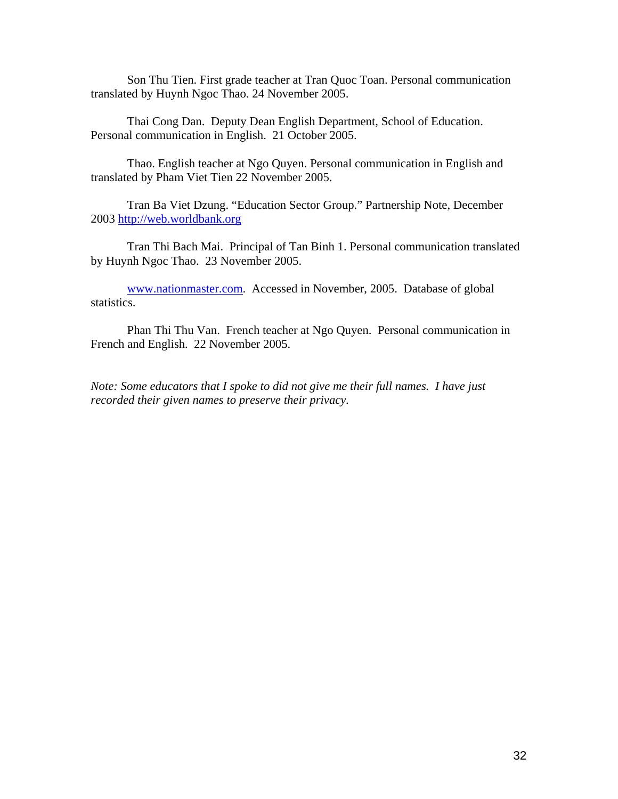Son Thu Tien. First grade teacher at Tran Quoc Toan. Personal communication translated by Huynh Ngoc Thao. 24 November 2005.

Thai Cong Dan. Deputy Dean English Department, School of Education. Personal communication in English. 21 October 2005.

Thao. English teacher at Ngo Quyen. Personal communication in English and translated by Pham Viet Tien 22 November 2005.

Tran Ba Viet Dzung. "Education Sector Group." Partnership Note, December 2003 [http://web.worldbank.org](http://web.worldbank.org/) 

Tran Thi Bach Mai. Principal of Tan Binh 1. Personal communication translated by Huynh Ngoc Thao. 23 November 2005.

[www.nationmaster.com.](http://www.nationmaster.com/) Accessed in November, 2005. Database of global statistics.

Phan Thi Thu Van. French teacher at Ngo Quyen. Personal communication in French and English. 22 November 2005.

*Note: Some educators that I spoke to did not give me their full names. I have just recorded their given names to preserve their privacy.*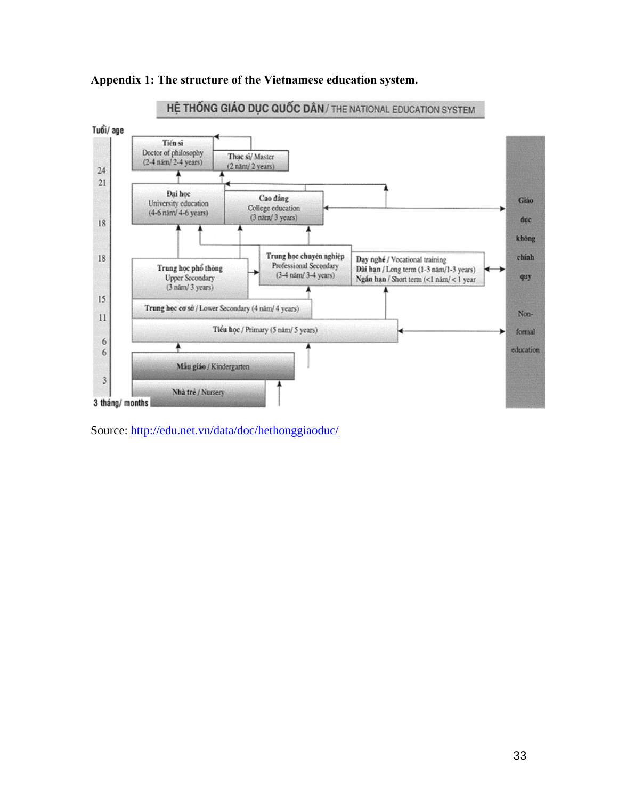



Source: <http://edu.net.vn/data/doc/hethonggiaoduc/>